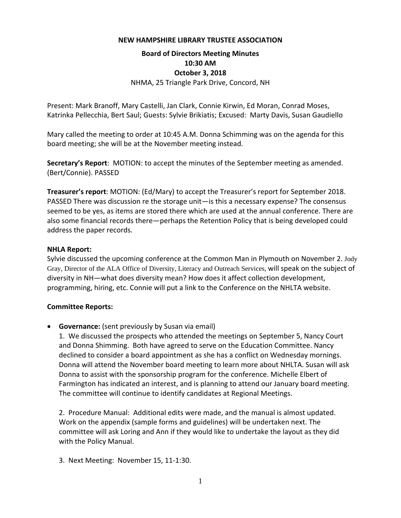#### **NEW HAMPSHIRE LIBRARY TRUSTEE ASSOCIATION**

# **Board of Directors Meeting Minutes 10:30 AM October 3, 2018** NHMA, 25 Triangle Park Drive, Concord, NH

Present: Mark Branoff, Mary Castelli, Jan Clark, Connie Kirwin, Ed Moran, Conrad Moses, Katrinka Pellecchia, Bert Saul; Guests: Sylvie Brikiatis; Excused: Marty Davis, Susan Gaudiello

Mary called the meeting to order at 10:45 A.M. Donna Schimming was on the agenda for this board meeting; she will be at the November meeting instead.

**Secretary's Report**: MOTION: to accept the minutes of the September meeting as amended. (Bert/Connie). PASSED

**Treasurer's report**: MOTION: (Ed/Mary) to accept the Treasurer's report for September 2018. PASSED There was discussion re the storage unit—is this a necessary expense? The consensus seemed to be yes, as items are stored there which are used at the annual conference. There are also some financial records there—perhaps the Retention Policy that is being developed could address the paper records.

#### **NHLA Report:**

Sylvie discussed the upcoming conference at the Common Man in Plymouth on November 2. Jody Gray, Director of the ALA Office of Diversity, Literacy and Outreach Services, will speak on the subject of diversity in NH—what does diversity mean? How does it affect collection development, programming, hiring, etc. Connie will put a link to the Conference on the NHLTA website.

#### **Committee Reports:**

**Governance:** (sent previously by Susan via email)

1. We discussed the prospects who attended the meetings on September 5, Nancy Court and Donna Shimming. Both have agreed to serve on the Education Committee. Nancy declined to consider a board appointment as she has a conflict on Wednesday mornings. Donna will attend the November board meeting to learn more about NHLTA. Susan will ask Donna to assist with the sponsorship program for the conference. Michelle Elbert of Farmington has indicated an interest, and is planning to attend our January board meeting. The committee will continue to identify candidates at Regional Meetings.

2. Procedure Manual: Additional edits were made, and the manual is almost updated. Work on the appendix (sample forms and guidelines) will be undertaken next. The committee will ask Loring and Ann if they would like to undertake the layout as they did with the Policy Manual.

3. Next Meeting: November 15, 11‐1:30.